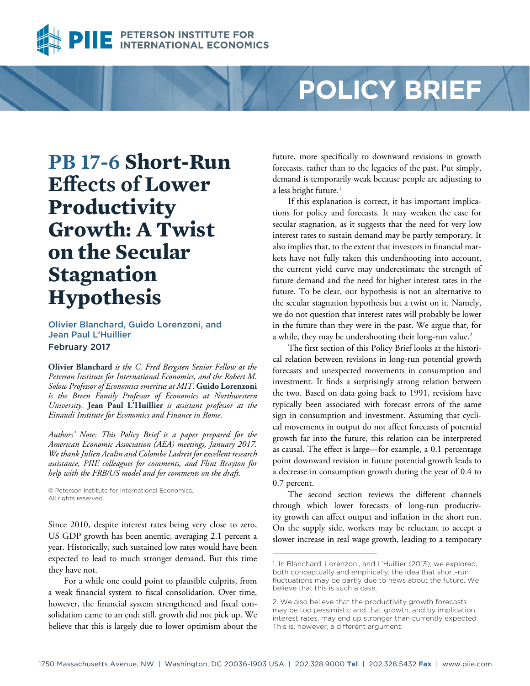

# **POLICY BRIEF**

## **PB 17-6 Short-Run Effects of Lower Productivity Growth: A Twist on the Secular Stagnation Hypothesis**

Olivier Blanchard, Guido Lorenzoni, and Jean Paul L'Huillier February 2017

**Olivier Blanchard** *is the C. Fred Bergsten Senior Fellow at the Peterson Institute for International Economics, and the Robert M. Solow Professor of Economics emeritus at MIT.* **Guido Lorenzoni**  *is the Breen Family Professor of Economics at Northwestern University.* **Jean Paul L'Huillier** *is assistant professor at the Einaudi Institute for Economics and Finance in Rome.* 

*Authors' Note: This Policy Brief is a paper prepared for the American Economic Association (AEA) meetings, January 2017. We thank Julien Acalin and Colombe Ladreit for excellent research assistance, PIIE colleagues for comments, and Flint Brayton for help with the FRB/US model and for comments on the draft.*

© Peterson Institute for International Economics. All rights reserved.

Since 2010, despite interest rates being very close to zero, US GDP growth has been anemic, averaging 2.1 percent a year. Historically, such sustained low rates would have been expected to lead to much stronger demand. But this time they have not.

For a while one could point to plausible culprits, from a weak financial system to fiscal consolidation. Over time, however, the financial system strengthened and fiscal consolidation came to an end; still, growth did not pick up. We believe that this is largely due to lower optimism about the

future, more specifically to downward revisions in growth forecasts, rather than to the legacies of the past. Put simply, demand is temporarily weak because people are adjusting to a less bright future.<sup>1</sup>

If this explanation is correct, it has important implications for policy and forecasts. It may weaken the case for secular stagnation, as it suggests that the need for very low interest rates to sustain demand may be partly temporary. It also implies that, to the extent that investors in financial markets have not fully taken this undershooting into account, the current yield curve may underestimate the strength of future demand and the need for higher interest rates in the future. To be clear, our hypothesis is not an alternative to the secular stagnation hypothesis but a twist on it. Namely, we do not question that interest rates will probably be lower in the future than they were in the past. We argue that, for a while, they may be undershooting their long-run value.<sup>2</sup>

The first section of this Policy Brief looks at the historical relation between revisions in long-run potential growth forecasts and unexpected movements in consumption and investment. It finds a surprisingly strong relation between the two. Based on data going back to 1991, revisions have typically been associated with forecast errors of the same sign in consumption and investment. Assuming that cyclical movements in output do not affect forecasts of potential growth far into the future, this relation can be interpreted as causal. The effect is large—for example, a 0.1 percentage point downward revision in future potential growth leads to a decrease in consumption growth during the year of 0.4 to 0.7 percent.

The second section reviews the different channels through which lower forecasts of long-run productivity growth can affect output and inflation in the short run. On the supply side, workers may be reluctant to accept a slower increase in real wage growth, leading to a temporary

<sup>1.</sup> In Blanchard, Lorenzoni, and L'Huillier (2013), we explored, both conceptually and empirically, the idea that short-run fluctuations may be partly due to news about the future. We believe that this is such a case.

<sup>2.</sup> We also believe that the productivity growth forecasts may be too pessimistic and that growth, and by implication, interest rates, may end up stronger than currently expected. This is, however, a different argument.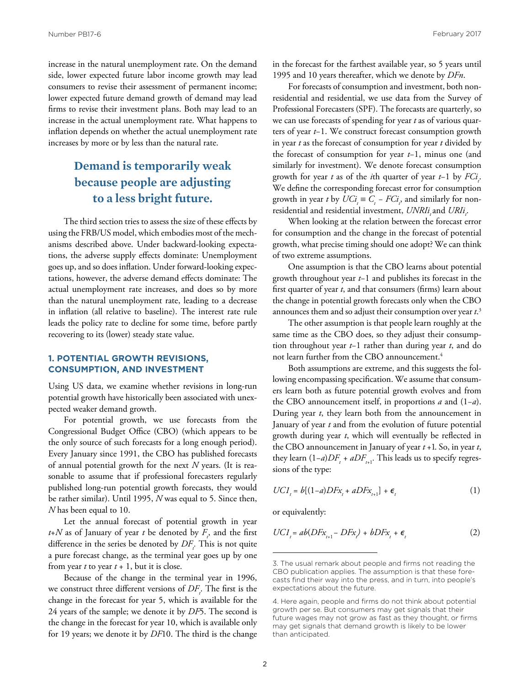increase in the natural unemployment rate. On the demand side, lower expected future labor income growth may lead consumers to revise their assessment of permanent income; lower expected future demand growth of demand may lead firms to revise their investment plans. Both may lead to an increase in the actual unemployment rate. What happens to inflation depends on whether the actual unemployment rate increases by more or by less than the natural rate.

### **Demand is temporarily weak because people are adjusting to a less bright future.**

The third section tries to assess the size of these effects by using the FRB/US model, which embodies most of the mechanisms described above. Under backward-looking expectations, the adverse supply effects dominate: Unemployment goes up, and so does inflation. Under forward-looking expectations, however, the adverse demand effects dominate: The actual unemployment rate increases, and does so by more than the natural unemployment rate, leading to a decrease in inflation (all relative to baseline). The interest rate rule leads the policy rate to decline for some time, before partly recovering to its (lower) steady state value.

#### **1. POTENTIAL GROWTH REVISIONS, CONSUMPTION, AND INVESTMENT**

Using US data, we examine whether revisions in long-run potential growth have historically been associated with unexpected weaker demand growth.

For potential growth, we use forecasts from the Congressional Budget Office (CBO) (which appears to be the only source of such forecasts for a long enough period). Every January since 1991, the CBO has published forecasts of annual potential growth for the next *N* years. (It is reasonable to assume that if professional forecasters regularly published long-run potential growth forecasts, they would be rather similar). Until 1995, *N* was equal to 5. Since then, *N* has been equal to 10.

Let the annual forecast of potential growth in year *t*+*N* as of January of year *t* be denoted by  $F$ <sub>*t*</sub>, and the first difference in the series be denoted by  $DF_i$ . This is not quite a pure forecast change, as the terminal year goes up by one from year  $t$  to year  $t + 1$ , but it is close.

Because of the change in the terminal year in 1996, we construct three different versions of  $DF$ <sub>*t*</sub>. The first is the change in the forecast for year 5, which is available for the 24 years of the sample; we denote it by *DF*5. The second is the change in the forecast for year 10, which is available only for 19 years; we denote it by *DF*10. The third is the change

in the forecast for the farthest available year, so 5 years until 1995 and 10 years thereafter, which we denote by *DFn*.

For forecasts of consumption and investment, both nonresidential and residential, we use data from the Survey of Professional Forecasters (SPF). The forecasts are quarterly, so we can use forecasts of spending for year *t* as of various quarters of year *t*−1. We construct forecast consumption growth in year *t* as the forecast of consumption for year *t* divided by the forecast of consumption for year *t*−1, minus one (and similarly for investment). We denote forecast consumption growth for year *t* as of the *i*th quarter of year *t*−1 by *FCi*<sub>*t*</sub>. We define the corresponding forecast error for consumption growth in year *t* by  $UCi_{t} \equiv C_{t} - FCi_{t}$ , and similarly for nonresidential and residential investment, *UNRIi<sub>t</sub>* and *URIi<sub>t</sub>*.

When looking at the relation between the forecast error for consumption and the change in the forecast of potential growth, what precise timing should one adopt? We can think of two extreme assumptions.

One assumption is that the CBO learns about potential growth throughout year *t*−1 and publishes its forecast in the first quarter of year *t*, and that consumers (firms) learn about the change in potential growth forecasts only when the CBO announces them and so adjust their consumption over year *t*. 3

The other assumption is that people learn roughly at the same time as the CBO does, so they adjust their consumption throughout year *t*−1 rather than during year *t*, and do not learn further from the CBO announcement.<sup>4</sup>

Both assumptions are extreme, and this suggests the following encompassing specification. We assume that consumers learn both as future potential growth evolves and from the CBO announcement itself, in proportions *a* and (1−*a*). During year *t*, they learn both from the announcement in January of year *t* and from the evolution of future potential growth during year *t*, which will eventually be reflected in the CBO announcement in January of year *t* + 1. So, in year *t*, they learn (1*−a*)*DF*<sub>*t*</sub> + *aDF*<sub>*t*+1</sub>. This leads us to specify regressions of the type:

$$
UCI_{t} = b[(1-a)DFx_{t} + aDFx_{t+1}] + \epsilon_{t}
$$
\n
$$
\tag{1}
$$

or equivalently:

$$
UC1_{t} = ab(DFx_{t+1} - DFx) + bDFx_{t} + \epsilon_{t}
$$
\n
$$
(2)
$$

<sup>3.</sup> The usual remark about people and firms not reading the CBO publication applies. The assumption is that these forecasts find their way into the press, and in turn, into people's expectations about the future.

<sup>4.</sup> Here again, people and firms do not think about potential growth per se. But consumers may get signals that their future wages may not grow as fast as they thought, or firms may get signals that demand growth is likely to be lower than anticipated.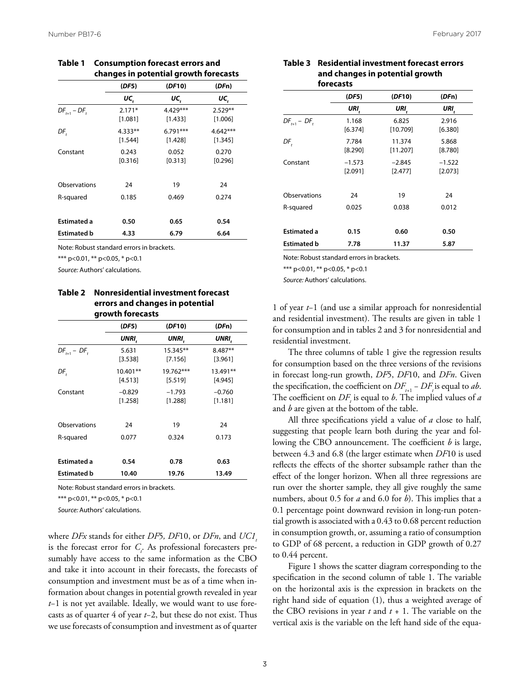|                     | (DF5)<br>UC,         | (DF10)<br>UC.         | (DFn)<br>UC,          |
|---------------------|----------------------|-----------------------|-----------------------|
|                     |                      |                       |                       |
| $DF_{t+1} - DF_{t}$ | $2.171*$<br>[1.081]  | $4.429***$<br>[1.433] | $2.529**$<br>[1.006]  |
| DF.                 | $4.333**$<br>[1.544] | $6.791***$<br>[1.428] | $4.642***$<br>[1.345] |
| Constant            | 0.243<br>[0.316]     | 0.052<br>[0.313]      | 0.270<br>[0.296]      |
| Observations        | 24                   | 19                    | 24                    |
| R-squared           | 0.185                | 0.469                 | 0.274                 |
| <b>Estimated a</b>  | 0.50                 | 0.65                  | 0.54                  |
| <b>Estimated b</b>  | 4.33                 | 6.79                  | 6.64                  |

#### **Table 1 Consumption forecast errors and changes in potential growth forecasts**

Note: Robust standard errors in brackets.

\*\*\*  $p < 0.01$ , \*\*  $p < 0.05$ , \*  $p < 0.1$ 

*Source:* Authors' calculations.

#### **Table 2 Nonresidential investment forecast errors and changes in potential growth forecasts**

|                     | (DF5)<br>UNRI <sub>t</sub> | (DF10)<br>UNRI <sub>t</sub> | (DFn)<br>UNRI <sub>t</sub> |
|---------------------|----------------------------|-----------------------------|----------------------------|
|                     |                            |                             |                            |
| $DF_{t+1} - DF_{t}$ | 5.631<br>[3.538]           | 15.345**<br>[7.156]         | 8.487**<br>[3.961]         |
| DF,                 | $10.401**$<br>[4.513]      | 19.762***<br>[5.519]        | 13.491**<br>[4.945]        |
| Constant            | $-0.829$<br>[1.258]        | $-1.793$<br>[1.288]         | $-0.760$<br>[1.181]        |
| Observations        | 24                         | 19                          | 24                         |
| R-squared           | 0.077                      | 0.324                       | 0.173                      |
| <b>Estimated a</b>  | 0.54                       | 0.78                        | 0.63                       |
| <b>Estimated b</b>  | 10.40                      | 19.76                       | 13.49                      |

Note: Robust standard errors in brackets.

\*\*\* p<0.01, \*\* p<0.05, \* p<0.1

*Source:* Authors' calculations.

where *DFx* stands for either *DF*5, *DF*10, or *DFn*, and *UC1*. is the forecast error for  $C_t$ . As professional forecasters presumably have access to the same information as the CBO and take it into account in their forecasts, the forecasts of consumption and investment must be as of a time when information about changes in potential growth revealed in year *t*−1 is not yet available. Ideally, we would want to use forecasts as of quarter 4 of year *t*−2, but these do not exist. Thus we use forecasts of consumption and investment as of quarter

#### **Table 3 Residential investment forecast errors and changes in potential growth forecasts**

|                     | (DF5)<br>URI,       | (DF10)<br>URI,        | (DFn)<br>URI,       |
|---------------------|---------------------|-----------------------|---------------------|
|                     |                     |                       |                     |
| $DF_{t+1} - DF_{t}$ | 1.168<br>[6.374]    | 6.825<br>[10.709]     | 2.916<br>[6.380]    |
| DF,                 | 7.784<br>[8.290]    | 11.374<br>[11.207]    | 5.868<br>[8.780]    |
| Constant            | $-1.573$<br>[2.091] | $-2.845$<br>$[2.477]$ | $-1.522$<br>[2.073] |
| Observations        | 24                  | 19                    | 24                  |
| R-squared           | 0.025               | 0.038                 | 0.012               |
| <b>Estimated a</b>  | 0.15                | 0.60                  | 0.50                |
| <b>Estimated b</b>  | 7.78                | 11.37                 | 5.87                |

Number Patrick Month 2017 and 2017 and 2017 and 2017 and 2017 and 2017 and 2017 and 2017 and 2017 and 2017 and 2017 Note: Robust standard errors in brackets.

\*\*\* p<0.01, \*\* p<0.05, \* p<0.1

*Source:* Authors' calculations.

1 of year *t*−1 (and use a similar approach for nonresidential and residential investment). The results are given in table 1 for consumption and in tables 2 and 3 for nonresidential and residential investment.

The three columns of table 1 give the regression results for consumption based on the three versions of the revisions in forecast long-run growth, *DF*5, *DF*10, and *DFn*. Given the specification, the coefficient on  $DF_{t+1}$  –  $DF_{t}$  is equal to *ab*. The coefficient on  $DF_{\epsilon}$  is equal to *b*. The implied values of *a* and *b* are given at the bottom of the table.

All three specifications yield a value of *a* close to half, suggesting that people learn both during the year and following the CBO announcement. The coefficient *b* is large, between 4.3 and 6.8 (the larger estimate when *DF*10 is used reflects the effects of the shorter subsample rather than the effect of the longer horizon. When all three regressions are run over the shorter sample, they all give roughly the same numbers, about 0.5 for *a* and 6.0 for *b*). This implies that a 0.1 percentage point downward revision in long-run potential growth is associated with a 0.43 to 0.68 percent reduction in consumption growth, or, assuming a ratio of consumption to GDP of 68 percent, a reduction in GDP growth of 0.27 to 0.44 percent.

[Figure 1](#page-3-0) shows the scatter diagram corresponding to the specification in the second column of table 1. The variable on the horizontal axis is the expression in brackets on the right hand side of equation (1), thus a weighted average of the CBO revisions in year *t* and *t* + 1. The variable on the vertical axis is the variable on the left hand side of the equa-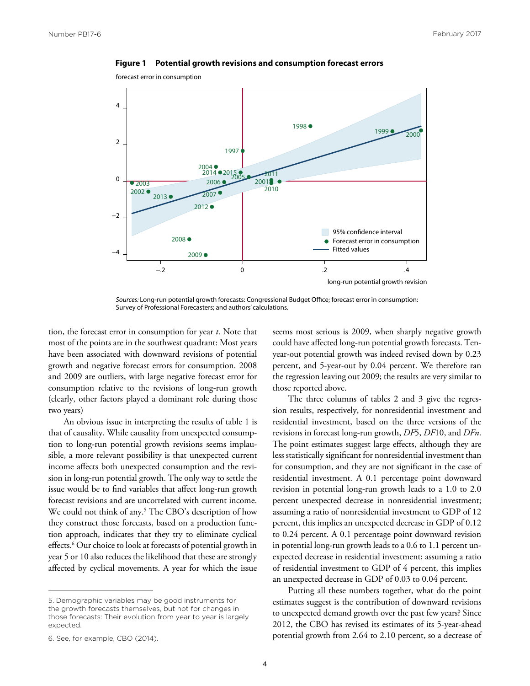

<span id="page-3-0"></span>**Figure 1 Potential growth revisions and consumption forecast errors** 

Sources: Long-run potential growth forecasts: Congressional Budget Office; forecast error in consumption:

Survey of Professional Forecasters; and authors' calculations.

tion, the forecast error in consumption for year *t*. Note that most of the points are in the southwest quadrant: Most years have been associated with downward revisions of potential growth and negative forecast errors for consumption. 2008 and 2009 are outliers, with large negative forecast error for consumption relative to the revisions of long-run growth (clearly, other factors played a dominant role during those two years)

An obvious issue in interpreting the results of table 1 is that of causality. While causality from unexpected consumption to long-run potential growth revisions seems implausible, a more relevant possibility is that unexpected current income affects both unexpected consumption and the revision in long-run potential growth. The only way to settle the issue would be to find variables that affect long-run growth forecast revisions and are uncorrelated with current income. We could not think of any.<sup>5</sup> The CBO's description of how they construct those forecasts, based on a production function approach, indicates that they try to eliminate cyclical effects.<sup>6</sup> Our choice to look at forecasts of potential growth in year 5 or 10 also reduces the likelihood that these are strongly affected by cyclical movements. A year for which the issue

seems most serious is 2009, when sharply negative growth could have affected long-run potential growth forecasts. Tenyear-out potential growth was indeed revised down by 0.23 percent, and 5-year-out by 0.04 percent. We therefore ran the regression leaving out 2009; the results are very similar to those reported above.

The three columns of tables 2 and 3 give the regression results, respectively, for nonresidential investment and residential investment, based on the three versions of the revisions in forecast long-run growth, *DF*5, *DF*10, and *DFn*. The point estimates suggest large effects, although they are less statistically significant for nonresidential investment than for consumption, and they are not significant in the case of residential investment. A 0.1 percentage point downward revision in potential long-run growth leads to a 1.0 to 2.0 percent unexpected decrease in nonresidential investment; assuming a ratio of nonresidential investment to GDP of 12 percent, this implies an unexpected decrease in GDP of 0.12 to 0.24 percent. A 0.1 percentage point downward revision in potential long-run growth leads to a 0.6 to 1.1 percent unexpected decrease in residential investment; assuming a ratio of residential investment to GDP of 4 percent, this implies an unexpected decrease in GDP of 0.03 to 0.04 percent.

Putting all these numbers together, what do the point estimates suggest is the contribution of downward revisions to unexpected demand growth over the past few years? Since 2012, the CBO has revised its estimates of its 5-year-ahead potential growth from 2.64 to 2.10 percent, so a decrease of

<sup>5.</sup> Demographic variables may be good instruments for the growth forecasts themselves, but not for changes in those forecasts: Their evolution from year to year is largely expected.

<sup>6.</sup> See, for example, CBO (2014).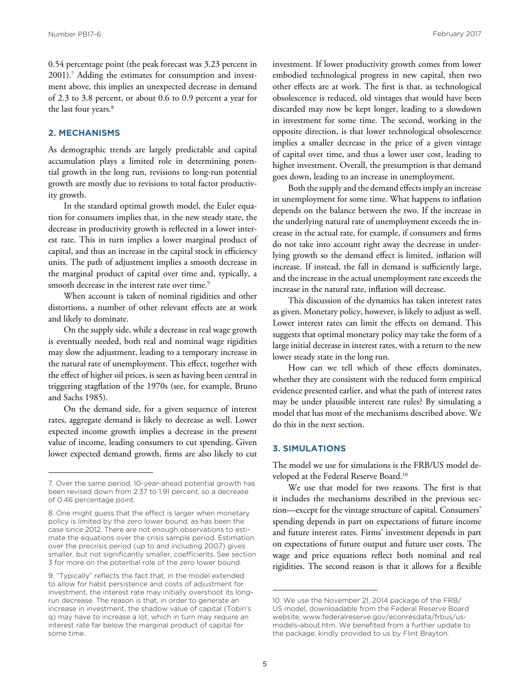0.54 percentage point (the peak forecast was 3.23 percent in 2001).<sup>7</sup> Adding the estimates for consumption and investment above, this implies an unexpected decrease in demand of 2.3 to 3.8 percent, or about 0.6 to 0.9 percent a year for the last four years.<sup>8</sup>

#### **2. MECHANISMS**

As demographic trends are largely predictable and capital accumulation plays a limited role in determining potential growth in the long run, revisions to long-run potential growth are mostly due to revisions to total factor productivity growth.

In the standard optimal growth model, the Euler equation for consumers implies that, in the new steady state, the decrease in productivity growth is reflected in a lower interest rate. This in turn implies a lower marginal product of capital, and thus an increase in the capital stock in efficiency units. The path of adjustment implies a smooth decrease in the marginal product of capital over time and, typically, a smooth decrease in the interest rate over time.<sup>9</sup>

When account is taken of nominal rigidities and other distortions, a number of other relevant effects are at work and likely to dominate.

On the supply side, while a decrease in real wage growth is eventually needed, both real and nominal wage rigidities may slow the adjustment, leading to a temporary increase in the natural rate of unemployment. This effect, together with the effect of higher oil prices, is seen as having been central in triggering stagflation of the 1970s (see, for example, Bruno and Sachs 1985).

On the demand side, for a given sequence of interest rates, aggregate demand is likely to decrease as well. Lower expected income growth implies a decrease in the present value of income, leading consumers to cut spending. Given lower expected demand growth, firms are also likely to cut

investment. If lower productivity growth comes from lower embodied technological progress in new capital, then two other effects are at work. The first is that, as technological obsolescence is reduced, old vintages that would have been discarded may now be kept longer, leading to a slowdown in investment for some time. The second, working in the opposite direction, is that lower technological obsolescence implies a smaller decrease in the price of a given vintage of capital over time, and thus a lower user cost, leading to higher investment. Overall, the presumption is that demand goes down, leading to an increase in unemployment.

Both the supply and the demand effects imply an increase in unemployment for some time. What happens to inflation depends on the balance between the two. If the increase in the underlying natural rate of unemployment exceeds the increase in the actual rate, for example, if consumers and firms do not take into account right away the decrease in underlying growth so the demand effect is limited, inflation will increase. If instead, the fall in demand is sufficiently large, and the increase in the actual unemployment rate exceeds the increase in the natural rate, inflation will decrease.

This discussion of the dynamics has taken interest rates as given. Monetary policy, however, is likely to adjust as well. Lower interest rates can limit the effects on demand. This suggests that optimal monetary policy may take the form of a large initial decrease in interest rates, with a return to the new lower steady state in the long run.

How can we tell which of these effects dominates, whether they are consistent with the reduced form empirical evidence presented earlier, and what the path of interest rates may be under plausible interest rate rules? By simulating a model that has most of the mechanisms described above. We do this in the next section.

#### **3. SIMULATIONS**

The model we use for simulations is the FRB/US model developed at the Federal Reserve Board.10

We use that model for two reasons. The first is that it includes the mechanisms described in the previous section—except for the vintage structure of capital. Consumers' spending depends in part on expectations of future income and future interest rates. Firms' investment depends in part on expectations of future output and future user costs. The wage and price equations reflect both nominal and real rigidities. The second reason is that it allows for a flexible

<sup>7.</sup> Over the same period, 10-year-ahead potential growth has been revised down from 2.37 to 1.91 percent, so a decrease of 0.46 percentage point.

<sup>8.</sup> One might guess that the effect is larger when monetary policy is limited by the zero lower bound, as has been the case since 2012. There are not enough observations to estimate the equations over the crisis sample period. Estimation over the precrisis period (up to and including 2007) gives smaller, but not significantly smaller, coefficients. See section 3 for more on the potential role of the zero lower bound.

<sup>9. &</sup>quot;Typically" reflects the fact that, in the model extended to allow for habit persistence and costs of adjustment for investment, the interest rate may initially overshoot its longrun decrease. The reason is that, in order to generate an increase in investment, the shadow value of capital (Tobin's q) may have to increase a lot, which in turn may require an interest rate far below the marginal product of capital for some time.

<sup>10.</sup> We use the November 21, 2014 package of the FRB/ US model, downloadable from the Federal Reserve Board website, www.federalreserve.gov/econresdata/frbus/usmodels-about.htm. We benefited from a further update to the package, kindly provided to us by Flint Brayton.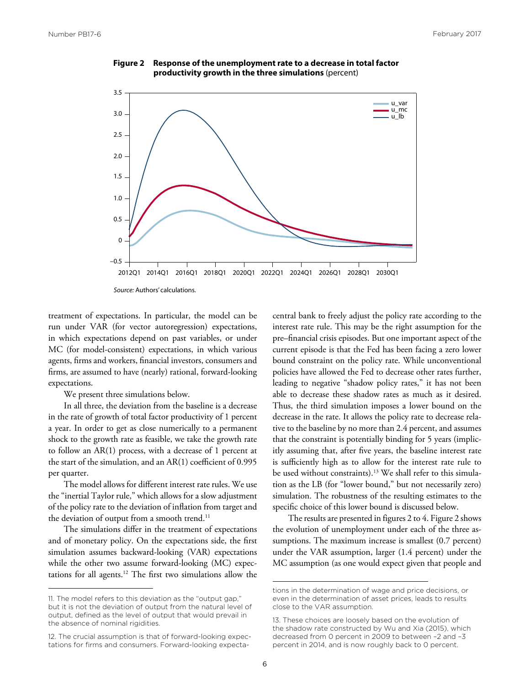

<span id="page-5-0"></span>**Figure 2 Response of the unemployment rate to a decrease in total factor productivity growth in the three simulations** (percent)

*Source:* Authors' calculations.

treatment of expectations. In particular, the model can be run under VAR (for vector autoregression) expectations, in which expectations depend on past variables, or under MC (for model-consistent) expectations, in which various agents, firms and workers, financial investors, consumers and firms, are assumed to have (nearly) rational, forward-looking expectations.

We present three simulations below.

In all three, the deviation from the baseline is a decrease in the rate of growth of total factor productivity of 1 percent a year. In order to get as close numerically to a permanent shock to the growth rate as feasible, we take the growth rate to follow an AR(1) process, with a decrease of 1 percent at the start of the simulation, and an AR(1) coefficient of 0.995 per quarter.

The model allows for different interest rate rules. We use the "inertial Taylor rule," which allows for a slow adjustment of the policy rate to the deviation of inflation from target and the deviation of output from a smooth trend.<sup>11</sup>

The simulations differ in the treatment of expectations and of monetary policy. On the expectations side, the first simulation assumes backward-looking (VAR) expectations while the other two assume forward-looking (MC) expectations for all agents.12 The first two simulations allow the

central bank to freely adjust the policy rate according to the interest rate rule. This may be the right assumption for the pre–financial crisis episodes. But one important aspect of the current episode is that the Fed has been facing a zero lower bound constraint on the policy rate. While unconventional policies have allowed the Fed to decrease other rates further, leading to negative "shadow policy rates," it has not been able to decrease these shadow rates as much as it desired. Thus, the third simulation imposes a lower bound on the decrease in the rate. It allows the policy rate to decrease relative to the baseline by no more than 2.4 percent, and assumes that the constraint is potentially binding for 5 years (implicitly assuming that, after five years, the baseline interest rate is sufficiently high as to allow for the interest rate rule to be used without constraints).<sup>13</sup> We shall refer to this simulation as the LB (for "lower bound," but not necessarily zero) simulation. The robustness of the resulting estimates to the specific choice of this lower bound is discussed below.

The results are presented in figures 2 to 4. Figure 2 shows the evolution of unemployment under each of the three assumptions. The maximum increase is smallest  $(0.7 \text{ percent})$ under the VAR assumption, larger (1.4 percent) under the MC assumption (as one would expect given that people and

<sup>11.</sup> The model refers to this deviation as the "output gap," but it is not the deviation of output from the natural level of output, defined as the level of output that would prevail in the absence of nominal rigidities.

<sup>12.</sup> The crucial assumption is that of forward-looking expectations for firms and consumers. Forward-looking expecta-

tions in the determination of wage and price decisions, or even in the determination of asset prices, leads to results close to the VAR assumption.

<sup>13.</sup> These choices are loosely based on the evolution of the shadow rate constructed by Wu and Xia (2015), which decreased from 0 percent in 2009 to between –2 and –3 percent in 2014, and is now roughly back to 0 percent.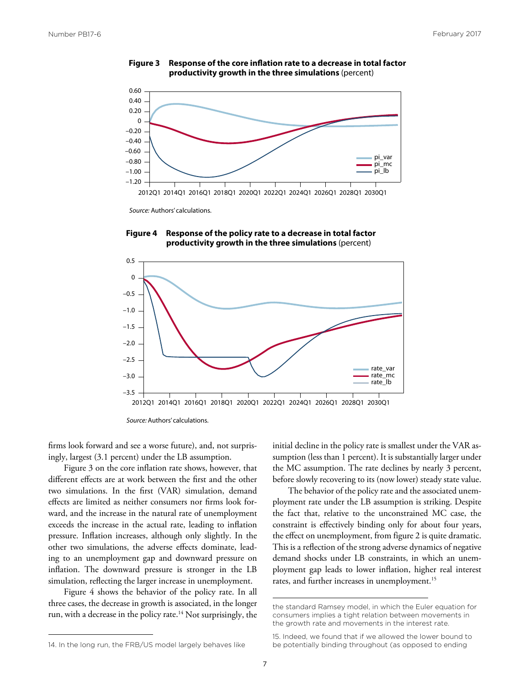

Figure 3 Response of the core inflation rate to a decrease in total factor  **productivity growth in the three simulations** (percent)

*Source:* Authors' calculations.





*Source:* Authors' calculations.

firms look forward and see a worse future), and, not surprisingly, largest (3.1 percent) under the LB assumption.

Figure 3 on the core inflation rate shows, however, that different effects are at work between the first and the other two simulations. In the first (VAR) simulation, demand effects are limited as neither consumers nor firms look forward, and the increase in the natural rate of unemployment exceeds the increase in the actual rate, leading to inflation pressure. Inflation increases, although only slightly. In the other two simulations, the adverse effects dominate, leading to an unemployment gap and downward pressure on inflation. The downward pressure is stronger in the LB simulation, reflecting the larger increase in unemployment.

Figure 4 shows the behavior of the policy rate. In all three cases, the decrease in growth is associated, in the longer run, with a decrease in the policy rate.14 Not surprisingly, the initial decline in the policy rate is smallest under the VAR assumption (less than 1 percent). It is substantially larger under the MC assumption. The rate declines by nearly 3 percent, before slowly recovering to its (now lower) steady state value.

The behavior of the policy rate and the associated unemployment rate under the LB assumption is striking. Despite the fact that, relative to the unconstrained MC case, the constraint is effectively binding only for about four years, the effect on unemployment, from [figure 2](#page-5-0) is quite dramatic. This is a reflection of the strong adverse dynamics of negative demand shocks under LB constraints, in which an unemployment gap leads to lower inflation, higher real interest rates, and further increases in unemployment.<sup>15</sup>

the standard Ramsey model, in which the Euler equation for consumers implies a tight relation between movements in the growth rate and movements in the interest rate.

<sup>14.</sup> In the long run, the FRB/US model largely behaves like

<sup>15.</sup> Indeed, we found that if we allowed the lower bound to be potentially binding throughout (as opposed to ending